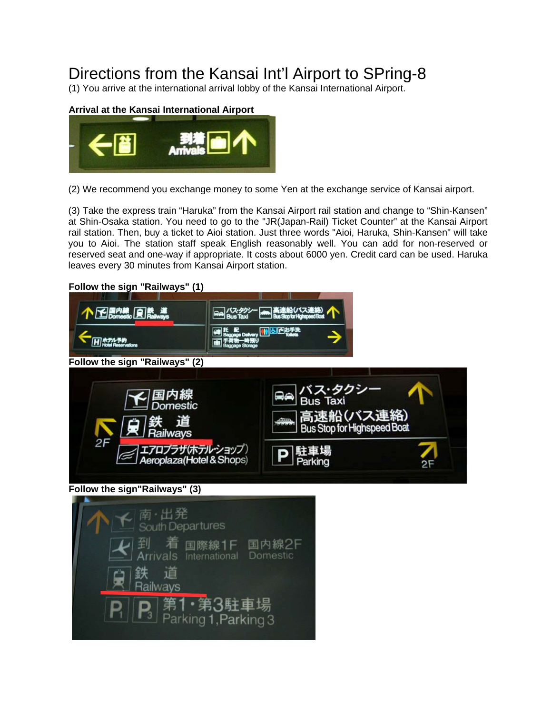## Directions from the Kansai Int'l Airport to SPring-8

(1) You arrive at the international arrival lobby of the Kansai International Airport.



(2) We recommend you exchange money to some Yen at the exchange service of Kansai airport.

(3) Take the express train "Haruka" from the Kansai Airport rail station and change to "Shin-Kansen" at Shin-Osaka station. You need to go to the "JR(Japan-Rail) Ticket Counter" at the Kansai Airport rail station. Then, buy a ticket to Aioi station. Just three words "Aioi, Haruka, Shin-Kansen" will take you to Aioi. The station staff speak English reasonably well. You can add for non-reserved or reserved seat and one-way if appropriate. It costs about 6000 yen. Credit card can be used. Haruka leaves every 30 minutes from Kansai Airport station.

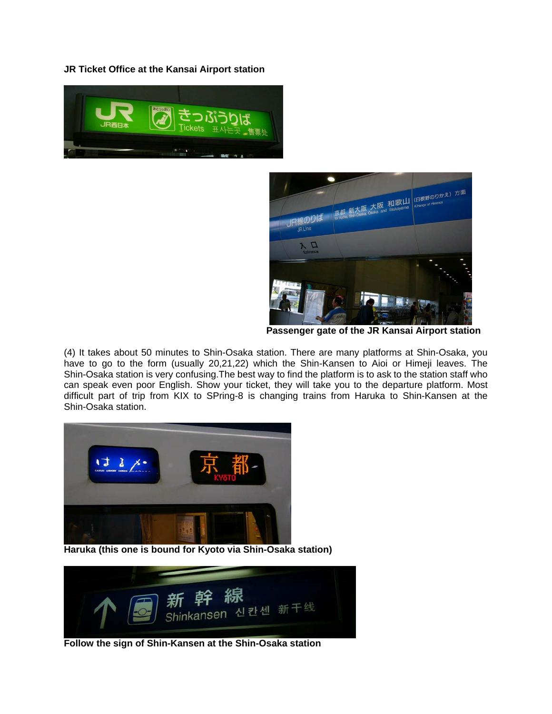**JR Ticket Office at the Kansai Airport station** 





**[Passenger gate of the JR Kansai Airport statio](http://xrm2005.spring8.or.jp/ticket-g.jpg)n** 

(4) It takes about 50 minutes to Shin-Osaka station. There are many platforms at Shin-Osaka, you have to go to the form (usually 20,21,22) which the Shin-Kansen to Aioi or Himeji leaves. The Shin-Osaka station is very confusing.The best way to find the platform is to ask to the station staff who can speak even poor English. Show your ticket, they will take you to the departure platform. Most difficult part of trip from KIX to SPring-8 is changing trains from Haruka to Shin-Kansen at the Shin-Osaka station.



**[Haruka \(this one is bound for Kyoto via Shin-Osaka](http://xrm2005.spring8.or.jp/haruka00.jpg) station)**



**[Follow the sign of Shin-Kansen at the Shin-Osaka station](http://xrm2005.spring8.or.jp/shinkans.jpg)**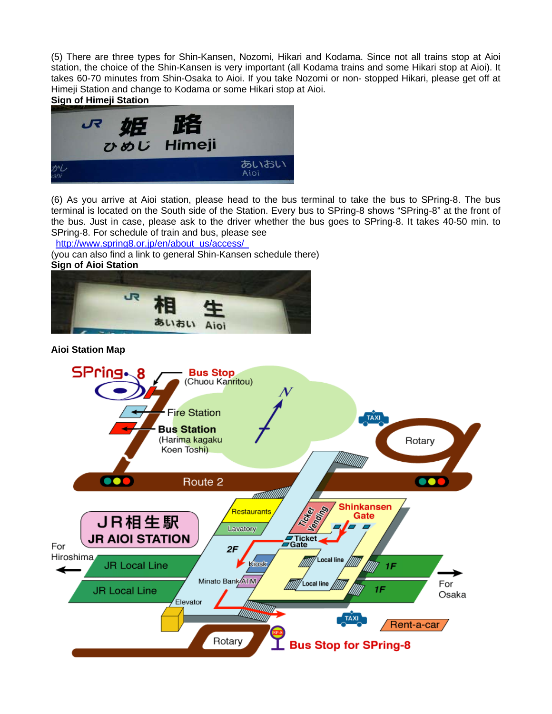(5) There are three types for Shin-Kansen, Nozomi, Hikari and Kodama. Since not all trains stop at Aioi station, the choice of the Shin-Kansen is very important (all Kodama trains and some Hikari stop at Aioi). It takes 60-70 minutes from Shin-Osaka to Aioi. If you take Nozomi or non- stopped Hikari, please get off at Himeji Station and change to Kodama or some Hikari stop at Aioi.





(6) As you arrive at Aioi station, please head to the bus terminal to take the bus to SPring-8. The bus terminal is located on the South side of the Station. Every bus to SPring-8 shows "SPring-8" at the front of the bus. Just in case, please ask to the driver whether the bus goes to SPring-8. It takes 40-50 min. to SPring-8. For schedule of train and bus, please see

[http://www.spring8.or.jp/en/about\\_us/access/](http://www.spring8.or.jp/en/about_us/access/)

(you can also find a link to general Shin-Kansen schedule there) **Sign of Aioi Station** 



**Aioi Station Map**